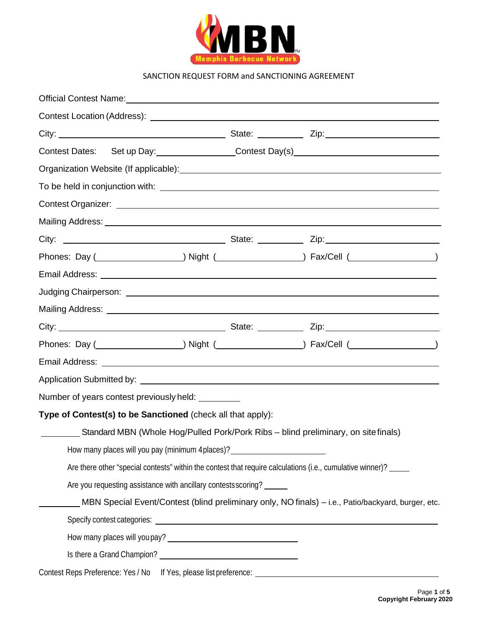

| Official Contest Name: 2008 2009 2009 2010 2020 2021 2022 2023 2024 2022 2023 2024 2022 2023 2024 2022 2023 20 |                                                                                                                              |                                                                                                            |
|----------------------------------------------------------------------------------------------------------------|------------------------------------------------------------------------------------------------------------------------------|------------------------------------------------------------------------------------------------------------|
|                                                                                                                |                                                                                                                              |                                                                                                            |
|                                                                                                                |                                                                                                                              |                                                                                                            |
|                                                                                                                |                                                                                                                              |                                                                                                            |
|                                                                                                                |                                                                                                                              |                                                                                                            |
|                                                                                                                |                                                                                                                              |                                                                                                            |
|                                                                                                                |                                                                                                                              |                                                                                                            |
|                                                                                                                |                                                                                                                              |                                                                                                            |
|                                                                                                                |                                                                                                                              |                                                                                                            |
|                                                                                                                |                                                                                                                              |                                                                                                            |
|                                                                                                                |                                                                                                                              |                                                                                                            |
|                                                                                                                |                                                                                                                              |                                                                                                            |
|                                                                                                                |                                                                                                                              |                                                                                                            |
|                                                                                                                |                                                                                                                              |                                                                                                            |
|                                                                                                                |                                                                                                                              |                                                                                                            |
|                                                                                                                |                                                                                                                              |                                                                                                            |
|                                                                                                                |                                                                                                                              |                                                                                                            |
| Number of years contest previously held: _________                                                             |                                                                                                                              |                                                                                                            |
| Type of Contest(s) to be Sanctioned (check all that apply):                                                    |                                                                                                                              |                                                                                                            |
|                                                                                                                |                                                                                                                              | Standard MBN (Whole Hog/Pulled Pork/Pork Ribs – blind preliminary, on site finals)                         |
|                                                                                                                | How many places will you pay (minimum 4 places)? _______________________________                                             |                                                                                                            |
|                                                                                                                |                                                                                                                              | Are there other "special contests" within the contest that require calculations (i.e., cumulative winner)? |
|                                                                                                                | Are you requesting assistance with ancillary contests scoring?                                                               |                                                                                                            |
|                                                                                                                |                                                                                                                              | MBN Special Event/Contest (blind preliminary only, NO finals) - i.e., Patio/backyard, burger, etc.         |
|                                                                                                                |                                                                                                                              |                                                                                                            |
|                                                                                                                | How many places will you pay?<br><u> Letter and the manufacture of the manufacture of the manufacture of the manufacture</u> |                                                                                                            |
|                                                                                                                |                                                                                                                              |                                                                                                            |
|                                                                                                                |                                                                                                                              |                                                                                                            |
|                                                                                                                |                                                                                                                              |                                                                                                            |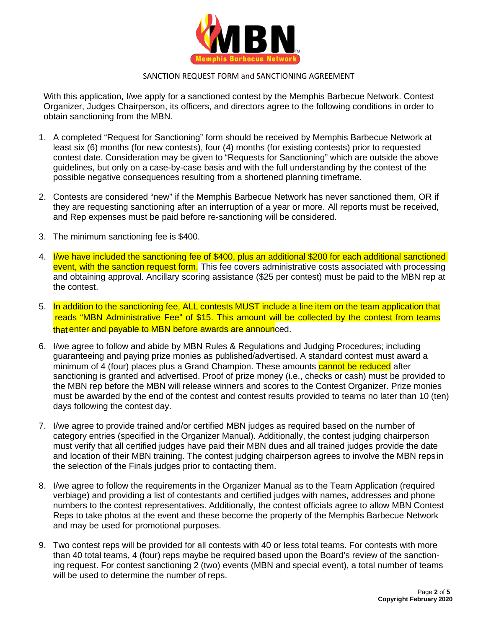

With this application, I/we apply for a sanctioned contest by the Memphis Barbecue Network. Contest Organizer, Judges Chairperson, its officers, and directors agree to the following conditions in order to obtain sanctioning from the MBN.

- 1. A completed "Request for Sanctioning" form should be received by Memphis Barbecue Network at least six (6) months (for new contests), four (4) months (for existing contests) prior to requested contest date. Consideration may be given to "Requests for Sanctioning" which are outside the above guidelines, but only on a case-by-case basis and with the full understanding by the contest of the possible negative consequences resulting from a shortened planning timeframe.
- 2. Contests are considered "new" if the Memphis Barbecue Network has never sanctioned them, OR if they are requesting sanctioning after an interruption of a year or more. All reports must be received, and Rep expenses must be paid before re-sanctioning will be considered.
- 3. The minimum sanctioning fee is \$400.
- 4. I/we have included the sanctioning fee of \$400, plus an additional \$200 for each additional sanctioned event, with the sanction request form. This fee covers administrative costs associated with processing and obtaining approval. Ancillary scoring assistance (\$25 per contest) must be paid to the MBN rep at the contest.
- 5. In addition to the sanctioning fee, ALL contests MUST include a line item on the team application that reads "MBN Administrative Fee" of \$15. This amount will be collected by the contest from teams that enter and payable to MBN before awards are announced.
- 6. I/we agree to follow and abide by MBN Rules & Regulations and Judging Procedures; including guaranteeing and paying prize monies as published/advertised. A standard contest must award a minimum of 4 (four) places plus a Grand Champion. These amounts cannot be reduced after sanctioning is granted and advertised. Proof of prize money (i.e., checks or cash) must be provided to the MBN rep before the MBN will release winners and scores to the Contest Organizer. Prize monies must be awarded by the end of the contest and contest results provided to teams no later than 10 (ten) days following the contest day.
- 7. I/we agree to provide trained and/or certified MBN judges as required based on the number of category entries (specified in the Organizer Manual). Additionally, the contest judging chairperson must verify that all certified judges have paid their MBN dues and all trained judges provide the date and location of their MBN training. The contest judging chairperson agrees to involve the MBN reps in the selection of the Finals judges prior to contacting them.
- 8. I/we agree to follow the requirements in the Organizer Manual as to the Team Application (required verbiage) and providing a list of contestants and certified judges with names, addresses and phone numbers to the contest representatives. Additionally, the contest officials agree to allow MBN Contest Reps to take photos at the event and these become the property of the Memphis Barbecue Network and may be used for promotional purposes.
- 9. Two contest reps will be provided for all contests with 40 or less total teams. For contests with more than 40 total teams, 4 (four) reps maybe be required based upon the Board's review of the sanctioning request. For contest sanctioning 2 (two) events (MBN and special event), a total number of teams will be used to determine the number of reps.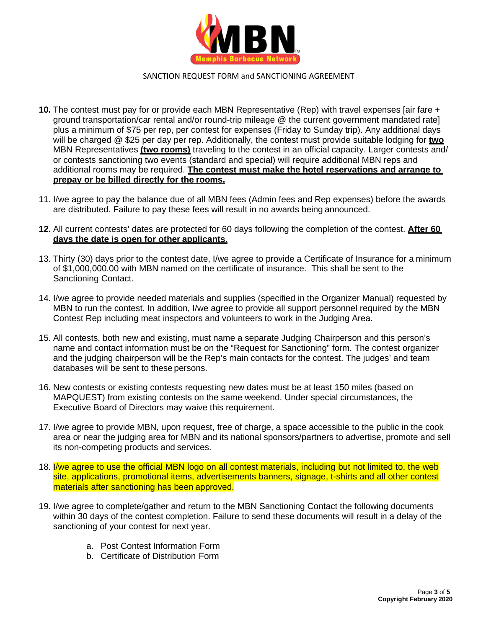

- **10.** The contest must pay for or provide each MBN Representative (Rep) with travel expenses [air fare + ground transportation/car rental and/or round-trip mileage @ the current government mandated rate] plus a minimum of \$75 per rep, per contest for expenses (Friday to Sunday trip). Any additional days will be charged @ \$25 per day per rep. Additionally, the contest must provide suitable lodging for **two** MBN Representatives **(two rooms)** traveling to the contest in an official capacity. Larger contests and/ or contests sanctioning two events (standard and special) will require additional MBN reps and additional rooms may be required. **The contest must make the hotel reservations and arrange to prepay or be billed directly for the rooms.**
- 11. I/we agree to pay the balance due of all MBN fees (Admin fees and Rep expenses) before the awards are distributed. Failure to pay these fees will result in no awards being announced.
- **12.** All current contests' dates are protected for 60 days following the completion of the contest. **After 60 days the date is open for other applicants.**
- 13. Thirty (30) days prior to the contest date, I/we agree to provide a Certificate of Insurance for a minimum of \$1,000,000.00 with MBN named on the certificate of insurance. This shall be sent to the Sanctioning Contact.
- 14. I/we agree to provide needed materials and supplies (specified in the Organizer Manual) requested by MBN to run the contest. In addition, I/we agree to provide all support personnel required by the MBN Contest Rep including meat inspectors and volunteers to work in the Judging Area.
- 15. All contests, both new and existing, must name a separate Judging Chairperson and this person's name and contact information must be on the "Request for Sanctioning" form. The contest organizer and the judging chairperson will be the Rep's main contacts for the contest. The judges' and team databases will be sent to these persons.
- 16. New contests or existing contests requesting new dates must be at least 150 miles (based on MAPQUEST) from existing contests on the same weekend. Under special circumstances, the Executive Board of Directors may waive this requirement.
- 17. I/we agree to provide MBN, upon request, free of charge, a space accessible to the public in the cook area or near the judging area for MBN and its national sponsors/partners to advertise, promote and sell its non-competing products and services.
- 18. I/we agree to use the official MBN logo on all contest materials, including but not limited to, the web site, applications, promotional items, advertisements banners, signage, t-shirts and all other contest materials after sanctioning has been approved.
- 19. I/we agree to complete/gather and return to the MBN Sanctioning Contact the following documents within 30 days of the contest completion. Failure to send these documents will result in a delay of the sanctioning of your contest for next year.
	- a. Post Contest Information Form
	- b. Certificate of Distribution Form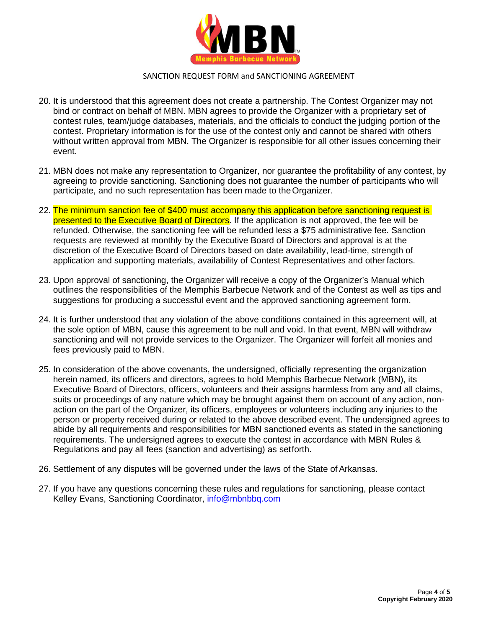

- 20. It is understood that this agreement does not create a partnership. The Contest Organizer may not bind or contract on behalf of MBN. MBN agrees to provide the Organizer with a proprietary set of contest rules, team/judge databases, materials, and the officials to conduct the judging portion of the contest. Proprietary information is for the use of the contest only and cannot be shared with others without written approval from MBN. The Organizer is responsible for all other issues concerning their event.
- 21. MBN does not make any representation to Organizer, nor guarantee the profitability of any contest, by agreeing to provide sanctioning. Sanctioning does not guarantee the number of participants who will participate, and no such representation has been made to theOrganizer.
- 22. The minimum sanction fee of \$400 must accompany this application before sanctioning request is presented to the Executive Board of Directors. If the application is not approved, the fee will be refunded. Otherwise, the sanctioning fee will be refunded less a \$75 administrative fee. Sanction requests are reviewed at monthly by the Executive Board of Directors and approval is at the discretion of the Executive Board of Directors based on date availability, lead-time, strength of application and supporting materials, availability of Contest Representatives and other factors.
- 23. Upon approval of sanctioning, the Organizer will receive a copy of the Organizer's Manual which outlines the responsibilities of the Memphis Barbecue Network and of the Contest as well as tips and suggestions for producing a successful event and the approved sanctioning agreement form.
- 24. It is further understood that any violation of the above conditions contained in this agreement will, at the sole option of MBN, cause this agreement to be null and void. In that event, MBN will withdraw sanctioning and will not provide services to the Organizer. The Organizer will forfeit all monies and fees previously paid to MBN.
- 25. In consideration of the above covenants, the undersigned, officially representing the organization herein named, its officers and directors, agrees to hold Memphis Barbecue Network (MBN), its Executive Board of Directors, officers, volunteers and their assigns harmless from any and all claims, suits or proceedings of any nature which may be brought against them on account of any action, nonaction on the part of the Organizer, its officers, employees or volunteers including any injuries to the person or property received during or related to the above described event. The undersigned agrees to abide by all requirements and responsibilities for MBN sanctioned events as stated in the sanctioning requirements. The undersigned agrees to execute the contest in accordance with MBN Rules & Regulations and pay all fees (sanction and advertising) as setforth.
- 26. Settlement of any disputes will be governed under the laws of the State of Arkansas.
- 27. If you have any questions concerning these rules and regulations for sanctioning, please contact Kelley Evans, Sanctioning Coordinator, [info@mbnbbq.com](mailto:info@mbnbbq.com)